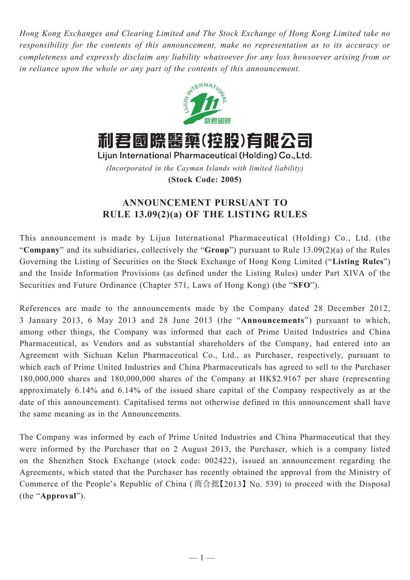*Hong Kong Exchanges and Clearing Limited and The Stock Exchange of Hong Kong Limited take no responsibility for the contents of this announcement, make no representation as to its accuracy or completeness and expressly disclaim any liability whatsoever for any loss howsoever arising from or in reliance upon the whole or any part of the contents of this announcement.*



利君國際醫藥(控股)有限公司

Lijun International Pharmaceutical (Holding) Co., Ltd. *(Incorporated in the Cayman Islands with limited liability)* **(Stock Code: 2005)**

## **ANNOUNCEMENT PURSUANT TO RULE 13.09(2)(a) OF THE LISTING RULES**

This announcement is made by Lijun International Pharmaceutical (Holding) Co., Ltd. (the "**Company**" and its subsidiaries, collectively the "**Group**") pursuant to Rule 13.09(2)(a) of the Rules Governing the Listing of Securities on the Stock Exchange of Hong Kong Limited ("**Listing Rules**") and the Inside Information Provisions (as defined under the Listing Rules) under Part XIVA of the Securities and Future Ordinance (Chapter 571, Laws of Hong Kong) (the "**SFO**").

References are made to the announcements made by the Company dated 28 December 2012, 3 January 2013, 6 May 2013 and 28 June 2013 (the "**Announcements**") pursuant to which, among other things, the Company was informed that each of Prime United Industries and China Pharmaceutical, as Vendors and as substantial shareholders of the Company, had entered into an Agreement with Sichuan Kelun Pharmaceutical Co., Ltd., as Purchaser, respectively, pursuant to which each of Prime United Industries and China Pharmaceuticals has agreed to sell to the Purchaser 180,000,000 shares and 180,000,000 shares of the Company at HK\$2.9167 per share (representing approximately 6.14% and 6.14% of the issued share capital of the Company respectively as at the date of this announcement). Capitalised terms not otherwise defined in this announcement shall have the same meaning as in the Announcements.

The Company was informed by each of Prime United Industries and China Pharmaceutical that they were informed by the Purchaser that on 2 August 2013, the Purchaser, which is a company listed on the Shenzhen Stock Exchange (stock code: 002422), issued an announcement regarding the Agreements, which stated that the Purchaser has recently obtained the approval from the Ministry of Commerce of the People's Republic of China ( 商合批【2013】No. 539) to proceed with the Disposal (the "**Approval**").